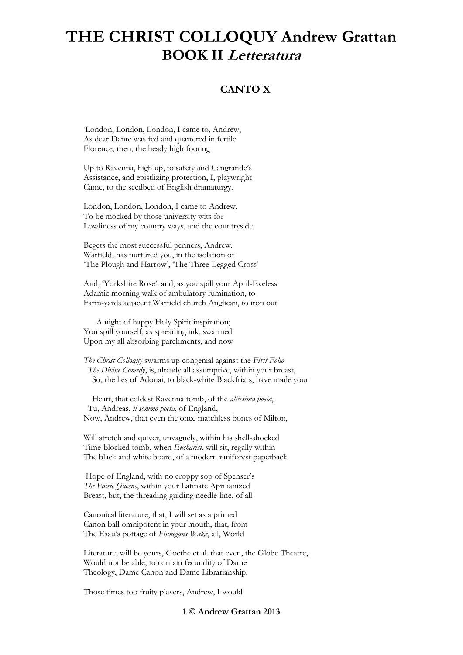### **CANTO X**

'London, London, London, I came to, Andrew, As dear Dante was fed and quartered in fertile Florence, then, the heady high footing

Up to Ravenna, high up, to safety and Cangrande's Assistance, and epistlizing protection, I, playwright Came, to the seedbed of English dramaturgy.

London, London, London, I came to Andrew, To be mocked by those university wits for Lowliness of my country ways, and the countryside,

Begets the most successful penners, Andrew. Warfield, has nurtured you, in the isolation of 'The Plough and Harrow', 'The Three-Legged Cross'

And, 'Yorkshire Rose'; and, as you spill your April-Eveless Adamic morning walk of ambulatory rumination, to Farm-yards adjacent Warfield church Anglican, to iron out

 A night of happy Holy Spirit inspiration; You spill yourself, as spreading ink, swarmed Upon my all absorbing parchments, and now

*The Christ Colloquy* swarms up congenial against the *First Folio*. *The Divine Comedy*, is, already all assumptive, within your breast, So, the lies of Adonai, to black-white Blackfriars, have made your

 Heart, that coldest Ravenna tomb, of the *altissima poeta*, Tu, Andreas, *il sommo poeta*, of England, Now, Andrew, that even the once matchless bones of Milton,

Will stretch and quiver, unvaguely, within his shell-shocked Time-blocked tomb, when *Eucharist*, will sit, regally within The black and white board, of a modern raniforest paperback.

Hope of England, with no croppy sop of Spenser's *The Fairie Queene*, within your Latinate Aprilianized Breast, but, the threading guiding needle-line, of all

Canonical literature, that, I will set as a primed Canon ball omnipotent in your mouth, that, from The Esau's pottage of *Finnegans Wake*, all, World

Literature, will be yours, Goethe et al. that even, the Globe Theatre, Would not be able, to contain fecundity of Dame Theology, Dame Canon and Dame Librarianship.

Those times too fruity players, Andrew, I would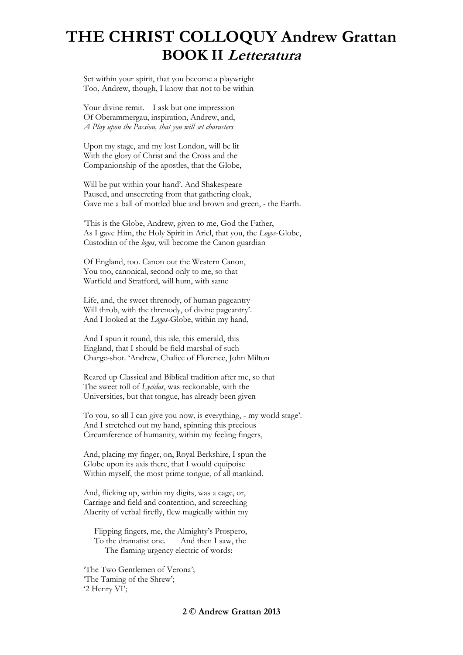Set within your spirit, that you become a playwright Too, Andrew, though, I know that not to be within

Your divine remit. I ask but one impression Of Oberammergau, inspiration, Andrew, and, *A Play upon the Passion, that you will set characters*

Upon my stage, and my lost London, will be lit With the glory of Christ and the Cross and the Companionship of the apostles, that the Globe,

Will be put within your hand'. And Shakespeare Paused, and unsecreting from that gathering cloak, Gave me a ball of mottled blue and brown and green, - the Earth.

'This is the Globe, Andrew, given to me, God the Father, As I gave Him, the Holy Spirit in Ariel, that you, the *Logos*-Globe, Custodian of the *logos*, will become the Canon guardian

Of England, too. Canon out the Western Canon, You too, canonical, second only to me, so that Warfield and Stratford, will hum, with same

Life, and, the sweet threnody, of human pageantry Will throb, with the threnody, of divine pageantry'. And I looked at the *Logos*-Globe, within my hand,

And I spun it round, this isle, this emerald, this England, that I should be field marshal of such Charge-shot. 'Andrew, Chalice of Florence, John Milton

Reared up Classical and Biblical tradition after me, so that The sweet toll of *Lycidas*, was reckonable, with the Universities, but that tongue, has already been given

To you, so all I can give you now, is everything, - my world stage'. And I stretched out my hand, spinning this precious Circumference of humanity, within my feeling fingers,

And, placing my finger, on, Royal Berkshire, I spun the Globe upon its axis there, that I would equipoise Within myself, the most prime tongue, of all mankind.

And, flicking up, within my digits, was a cage, or, Carriage and field and contention, and screeching Alacrity of verbal firefly, flew magically within my

 Flipping fingers, me, the Almighty's Prospero, To the dramatist one. And then I saw, the The flaming urgency electric of words:

'The Two Gentlemen of Verona'; 'The Taming of the Shrew'; '2 Henry VI';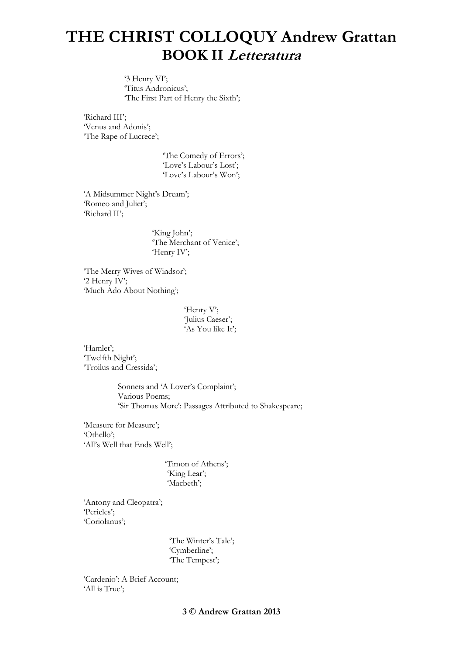'3 Henry VI'; 'Titus Andronicus'; 'The First Part of Henry the Sixth';

'Richard III'; 'Venus and Adonis'; 'The Rape of Lucrece';

> 'The Comedy of Errors'; 'Love's Labour's Lost'; 'Love's Labour's Won';

'A Midsummer Night's Dream'; 'Romeo and Juliet'; 'Richard II';

> 'King John'; 'The Merchant of Venice'; 'Henry IV';

'The Merry Wives of Windsor'; '2 Henry IV'; 'Much Ado About Nothing';

> 'Henry V'; 'Julius Caeser'; 'As You like It';

'Hamlet'; 'Twelfth Night'; 'Troilus and Cressida';

> Sonnets and 'A Lover's Complaint'; Various Poems; 'Sir Thomas More': Passages Attributed to Shakespeare;

'Measure for Measure'; 'Othello'; 'All's Well that Ends Well';

> 'Timon of Athens'; 'King Lear'; 'Macbeth';

'Antony and Cleopatra'; 'Pericles'; 'Coriolanus';

> 'The Winter's Tale'; 'Cymberline'; 'The Tempest';

'Cardenio': A Brief Account; 'All is True';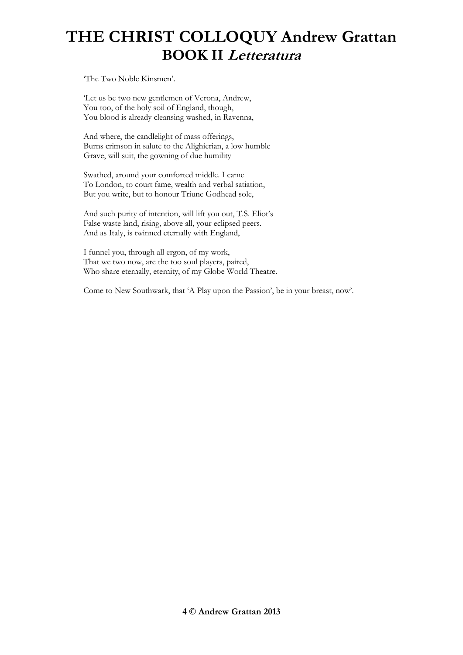'The Two Noble Kinsmen'.

'Let us be two new gentlemen of Verona, Andrew, You too, of the holy soil of England, though, You blood is already cleansing washed, in Ravenna,

And where, the candlelight of mass offerings, Burns crimson in salute to the Alighierian, a low humble Grave, will suit, the gowning of due humility

Swathed, around your comforted middle. I came To London, to court fame, wealth and verbal satiation, But you write, but to honour Triune Godhead sole,

And such purity of intention, will lift you out, T.S. Eliot's False waste land, rising, above all, your eclipsed peers. And as Italy, is twinned eternally with England,

I funnel you, through all ergon, of my work, That we two now, are the too soul players, paired, Who share eternally, eternity, of my Globe World Theatre.

Come to New Southwark, that 'A Play upon the Passion', be in your breast, now'.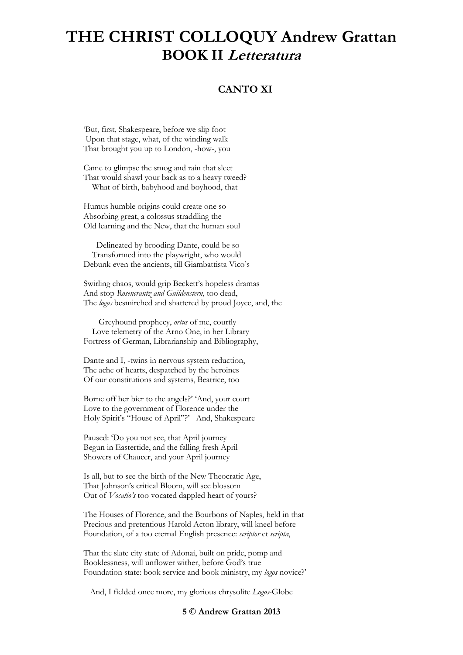### **CANTO XI**

'But, first, Shakespeare, before we slip foot Upon that stage, what, of the winding walk That brought you up to London, -how-, you

Came to glimpse the smog and rain that sleet That would shawl your back as to a heavy tweed? What of birth, babyhood and boyhood, that

Humus humble origins could create one so Absorbing great, a colossus straddling the Old learning and the New, that the human soul

 Delineated by brooding Dante, could be so Transformed into the playwright, who would Debunk even the ancients, till Giambattista Vico's

Swirling chaos, would grip Beckett's hopeless dramas And stop *Rosencrantz and Guildenstern*, too dead, The *logos* besmirched and shattered by proud Joyce, and, the

 Greyhound prophecy, *ortus* of me, courtly Love telemetry of the Arno One, in her Library Fortress of German, Librarianship and Bibliography,

Dante and I, -twins in nervous system reduction, The ache of hearts, despatched by the heroines Of our constitutions and systems, Beatrice, too

Borne off her bier to the angels?' 'And, your court Love to the government of Florence under the Holy Spirit's "House of April"?' And, Shakespeare

Paused: 'Do you not see, that April journey Begun in Eastertide, and the falling fresh April Showers of Chaucer, and your April journey

Is all, but to see the birth of the New Theocratic Age, That Johnson's critical Bloom, will see blossom Out of *Vocatio's* too vocated dappled heart of yours?

The Houses of Florence, and the Bourbons of Naples, held in that Precious and pretentious Harold Acton library, will kneel before Foundation, of a too eternal English presence: *scriptor* et *scripta*,

That the slate city state of Adonai, built on pride, pomp and Booklessness, will unflower wither, before God's true Foundation state: book service and book ministry, my *logos* novice?'

And, I fielded once more, my glorious chrysolite *Logos*-Globe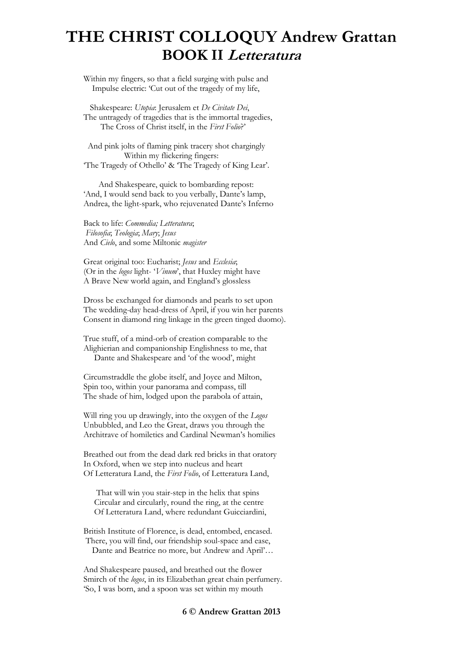Within my fingers, so that a field surging with pulse and Impulse electric: 'Cut out of the tragedy of my life,

 Shakespeare: *Utopia*: Jerusalem et *De Civitate Dei*, The untragedy of tragedies that is the immortal tragedies, The Cross of Christ itself, in the *First Folio*?'

 And pink jolts of flaming pink tracery shot chargingly Within my flickering fingers: 'The Tragedy of Othello' & 'The Tragedy of King Lear'.

 And Shakespeare, quick to bombarding repost: 'And, I would send back to you verbally, Dante's lamp, Andrea, the light-spark, who rejuvenated Dante's Inferno

Back to life: *Commedia; Letteratura*; *Filosofia*; *Teologia*; *Mary*; *Jesus* And *Cielo*, and some Miltonic *magister*

Great original too: Eucharist; *Jesus* and *Ecclesia*; (Or in the *logos* light- '*Vinum*', that Huxley might have A Brave New world again, and England's glossless

Dross be exchanged for diamonds and pearls to set upon The wedding-day head-dress of April, if you win her parents Consent in diamond ring linkage in the green tinged duomo).

True stuff, of a mind-orb of creation comparable to the Alighierian and companionship Englishness to me, that Dante and Shakespeare and 'of the wood', might

Circumstraddle the globe itself, and Joyce and Milton, Spin too, within your panorama and compass, till The shade of him, lodged upon the parabola of attain,

Will ring you up drawingly, into the oxygen of the *Logos* Unbubbled, and Leo the Great, draws you through the Architrave of homiletics and Cardinal Newman's homilies

Breathed out from the dead dark red bricks in that oratory In Oxford, when we step into nucleus and heart Of Letteratura Land, the *First Folio*, of Letteratura Land,

 That will win you stair-step in the helix that spins Circular and circularly, round the ring, at the centre Of Letteratura Land, where redundant Guicciardini,

British Institute of Florence, is dead, entombed, encased. There, you will find, our friendship soul-space and ease, Dante and Beatrice no more, but Andrew and April'…

And Shakespeare paused, and breathed out the flower Smirch of the *logos*, in its Elizabethan great chain perfumery. 'So, I was born, and a spoon was set within my mouth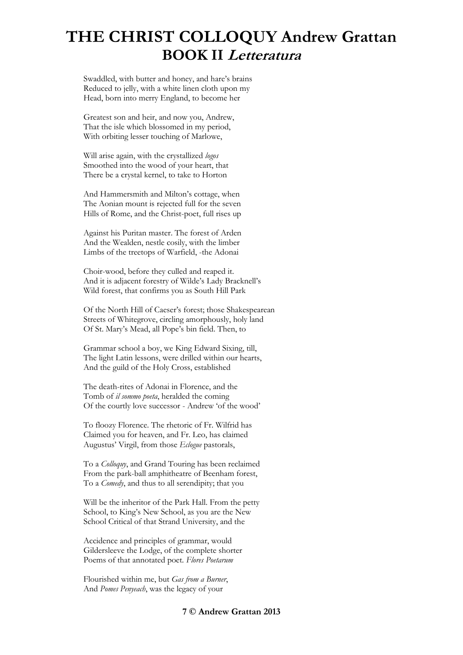Swaddled, with butter and honey, and hare's brains Reduced to jelly, with a white linen cloth upon my Head, born into merry England, to become her

Greatest son and heir, and now you, Andrew, That the isle which blossomed in my period, With orbiting lesser touching of Marlowe,

Will arise again, with the crystallized *logos* Smoothed into the wood of your heart, that There be a crystal kernel, to take to Horton

And Hammersmith and Milton's cottage, when The Aonian mount is rejected full for the seven Hills of Rome, and the Christ-poet, full rises up

Against his Puritan master. The forest of Arden And the Wealden, nestle cosily, with the limber Limbs of the treetops of Warfield, -the Adonai

Choir-wood, before they culled and reaped it. And it is adjacent forestry of Wilde's Lady Bracknell's Wild forest, that confirms you as South Hill Park

Of the North Hill of Caeser's forest; those Shakespearean Streets of Whitegrove, circling amorphously, holy land Of St. Mary's Mead, all Pope's bin field. Then, to

Grammar school a boy, we King Edward Sixing, till, The light Latin lessons, were drilled within our hearts, And the guild of the Holy Cross, established

The death-rites of Adonai in Florence, and the Tomb of *il sommo poeta*, heralded the coming Of the courtly love successor - Andrew 'of the wood'

To floozy Florence. The rhetoric of Fr. Wilfrid has Claimed you for heaven, and Fr. Leo, has claimed Augustus' Virgil, from those *Eclogue* pastorals,

To a *Colloquy*, and Grand Touring has been reclaimed From the park-ball amphitheatre of Beenham forest, To a *Comedy*, and thus to all serendipity; that you

Will be the inheritor of the Park Hall. From the petty School, to King's New School, as you are the New School Critical of that Strand University, and the

Accidence and principles of grammar, would Gildersleeve the Lodge, of the complete shorter Poems of that annotated poet. *Flores Poetarum*

Flourished within me, but *Gas from a Burner*, And *Pomes Penyeach*, was the legacy of your